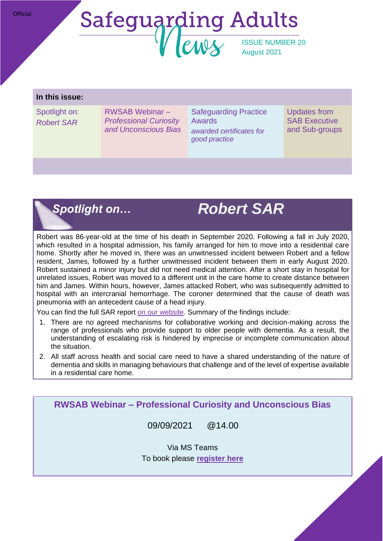#### **Official**

# Safeguarding Adults August 2021

#### **In this issue:**

Spotlight on: *Robert SAR*

RWSAB Webinar – *Professional Curiosity and Unconscious Bias* Safeguarding Practice Awards *awarded certificates for good practice*

Updates from SAB Executive and Sub-groups

# *Spotlight on…*

# *Robert SAR*

Robert was 86-year-old at the time of his death in September 2020. Following a fall in July 2020, which resulted in a hospital admission, his family arranged for him to move into a residential care home. Shortly after he moved in, there was an unwitnessed incident between Robert and a fellow resident, James, followed by a further unwitnessed incident between them in early August 2020. Robert sustained a minor injury but did not need medical attention. After a short stay in hospital for unrelated issues, Robert was moved to a different unit in the care home to create distance between him and James. Within hours, however, James attacked Robert, who was subsequently admitted to hospital with an intercranial hemorrhage. The coroner determined that the cause of death was pneumonia with an antecedent cause of a head injury.

You can find the full SAR report [on our website.](https://www.sabrichmondandwandsworth.org.uk/safeguarding-adult-reviews/#reports) Summary of the findings include:

- 1. There are no agreed mechanisms for collaborative working and decision-making across the range of professionals who provide support to older people with dementia. As a result, the understanding of escalating risk is hindered by imprecise or incomplete communication about the situation.
- 2. All staff across health and social care need to have a shared understanding of the nature of dementia and skills in managing behaviours that challenge and of the level of expertise available in a residential care home.

**RWSAB Webinar – Professional Curiosity and Unconscious Bias**

09/09/2021 @14.00

Via MS Teams To book please **[register here](https://www.eventbrite.co.uk/e/professional-curiosity-and-unconscious-bias-rwsab-webinar-tickets-166030290067)**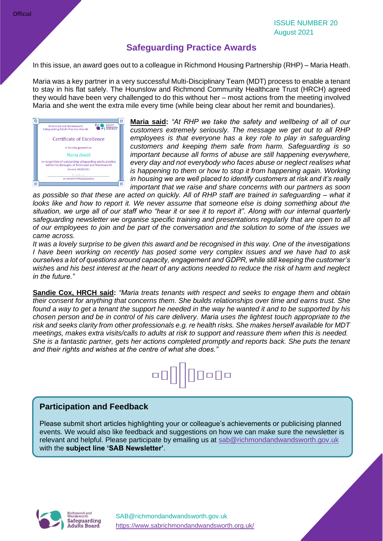# **Safeguarding Practice Awards**

In this issue, an award goes out to a colleague in Richmond Housing Partnership (RHP) – Maria Heath.

Maria was a key partner in a very successful Multi-Disciplinary Team (MDT) process to enable a tenant to stay in his flat safely. The Hounslow and Richmond Community Healthcare Trust (HRCH) agreed they would have been very challenged to do this without her – most actions from the meeting involved Maria and she went the extra mile every time (while being clear about her remit and boundaries).



**Maria said:** *"At RHP we take the safety and wellbeing of all of our customers extremely seriously. The message we get out to all RHP employees is that everyone has a key role to play in safeguarding customers and keeping them safe from harm. Safeguarding is so important because all forms of abuse are still happening everywhere, every day and not everybody who faces abuse or neglect realises what is happening to them or how to stop it from happening again. Working in housing we are well placed to identify customers at risk and it's really important that we raise and share concerns with our partners as soon* 

*as possible so that these are acted on quickly. All of RHP staff are trained in safeguarding – what it*  looks like and how to report it. We never assume that someone else is doing something about the *situation, we urge all of our staff who "hear it or see it to report it". Along with our internal quarterly safeguarding newsletter we organise specific training and presentations regularly that are open to all of our employees to join and be part of the conversation and the solution to some of the issues we came across.*

*It was a lovely surprise to be given this award and be recognised in this way. One of the investigations I have been working on recently has posed some very complex issues and we have had to ask ourselves a lot of questions around capacity, engagement and GDPR, while still keeping the customer's wishes and his best interest at the heart of any actions needed to reduce the risk of harm and neglect in the future."*

**Sandie Cox, HRCH said:** *"Maria treats tenants with respect and seeks to engage them and obtain their consent for anything that concerns them. She builds relationships over time and earns trust. She found a way to get a tenant the support he needed in the way he wanted it and to be supported by his chosen person and be in control of his care delivery. Maria uses the lightest touch appropriate to the risk and seeks clarity from other professionals e.g. re health risks. She makes herself available for MDT meetings, makes extra visits/calls to adults at risk to support and reassure them when this is needed. She is a fantastic partner, gets her actions completed promptly and reports back. She puts the tenant and their rights and wishes at the centre of what she does."*



#### **Participation and Feedback**

Please submit short articles highlighting your or colleague's achievements or publicising planned events. We would also like feedback and suggestions on how we can make sure the newsletter is relevant and helpful. Please participate by emailing us at [sab@richmondandwandsworth.gov.uk](mailto:sab@richmondandwandsworth.gov.uk) with the **subject line 'SAB Newsletter'**.